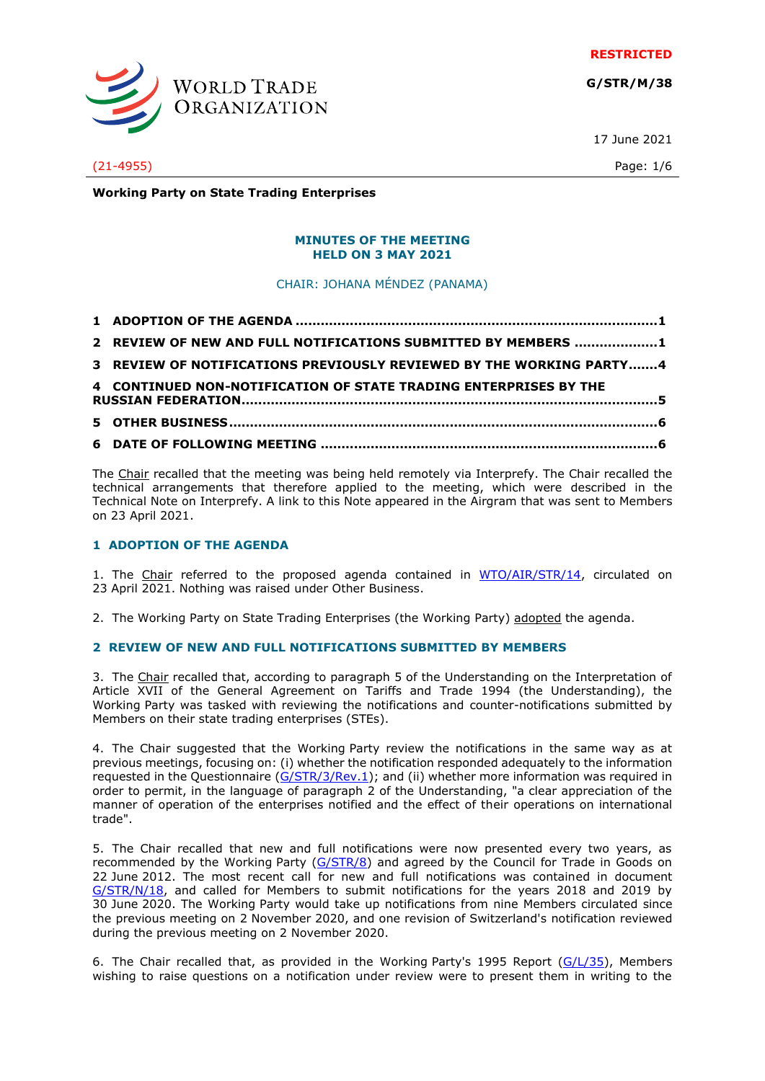**RESTRICTED**

**G/STR/M/38**



17 June 2021

(21-4955) Page: 1/6

**Working Party on State Trading Enterprises**

#### **MINUTES OF THE MEETING HELD ON 3 MAY 2021**

CHAIR: JOHANA MÉNDEZ (PANAMA)

| 2 REVIEW OF NEW AND FULL NOTIFICATIONS SUBMITTED BY MEMBERS 1 |
|---------------------------------------------------------------|

**[3 REVIEW OF NOTIFICATIONS PREVIOUSLY REVIEWED BY THE WORKING](#page-3-0) PARTY.......4**

**[4 CONTINUED NON-NOTIFICATION OF STATE TRADING ENTERPRISES BY THE](#page-4-0)** 

- **RUSSIAN [FEDERATION....................................................................................................5](#page-4-0)**
- **[5 OTHER BUSINESS.......................................................................................................6](#page-5-0) 6 DATE OF FOLLOWING MEETING [.................................................................................6](#page-5-1)**

The Chair recalled that the meeting was being held remotely via Interprefy. The Chair recalled the technical arrangements that therefore applied to the meeting, which were described in the Technical Note on Interprefy. A link to this Note appeared in the Airgram that was sent to Members on 23 April 2021.

# <span id="page-0-0"></span>**1 ADOPTION OF THE AGENDA**

1. The Chair referred to the proposed agenda contained in [WTO/AIR/STR/14,](https://docs.wto.org/dol2fe/Pages/FE_Search/FE_S_S006.aspx?MetaCollection=WTO&SymbolList=%22WTO%2fAIR%2fSTR%2f14%22+OR+%22WTO%2fAIR%2fSTR%2f14%2f*%22&Serial=&IssuingDateFrom=&IssuingDateTo=&CATTITLE=&ConcernedCountryList=&OtherCountryList=&SubjectList=&TypeList=&FullTextHash=371857150&ProductList=&BodyDescriptionList=&OrganizationList=&ArticleList=&Contents=&CollectionList=&RestrictionTypeName=&PostingDateFrom=&PostingDateTo=&DerestrictionDateFrom=&DerestrictionDateTo=&ReferenceList=&Language=ENGLISH&SearchPage=FE_S_S001&ActiveTabIndex=0&HSClassificationList=&ServicesClassificationList=&EnvironmentClassificationList=&ICSClassificationList=&ICSClassificationDescList:EnvironmentClassificationDescList:ServicesClassificationDescList:HSClassificationDescList=&languageUIChanged=true) circulated on 23 April 2021. Nothing was raised under Other Business.

2. The Working Party on State Trading Enterprises (the Working Party) adopted the agenda.

## <span id="page-0-1"></span>**2 REVIEW OF NEW AND FULL NOTIFICATIONS SUBMITTED BY MEMBERS**

3. The Chair recalled that, according to paragraph 5 of the Understanding on the Interpretation of Article XVII of the General Agreement on Tariffs and Trade 1994 (the Understanding), the Working Party was tasked with reviewing the notifications and counter-notifications submitted by Members on their state trading enterprises (STEs).

4. The Chair suggested that the Working Party review the notifications in the same way as at previous meetings, focusing on: (i) whether the notification responded adequately to the information requested in the Questionnaire [\(G/STR/3/Rev.1\)](https://docs.wto.org/dol2fe/Pages/FE_Search/FE_S_S006.aspx?DataSource=Cat&query=@Symbol=%22G/STR/3/Rev.1%22%20OR%20@Symbol=%22G/STR/3/Rev.1/*%22&Language=English&Context=ScriptedSearches&languageUIChanged=true); and (ii) whether more information was required in order to permit, in the language of paragraph 2 of the Understanding, "a clear appreciation of the manner of operation of the enterprises notified and the effect of their operations on international trade".

5. The Chair recalled that new and full notifications were now presented every two years, as recommended by the Working Party [\(G/STR/8\)](https://docs.wto.org/dol2fe/Pages/FE_Search/FE_S_S006.aspx?DataSource=Cat&query=@Symbol=%22G/STR/8%22%20OR%20@Symbol=%22G/STR/8/*%22&Language=English&Context=ScriptedSearches&languageUIChanged=true) and agreed by the Council for Trade in Goods on 22 June 2012. The most recent call for new and full notifications was contained in document [G/STR/N/18,](https://docs.wto.org/dol2fe/Pages/FE_Search/FE_S_S006.aspx?DataSource=Cat&query=@Symbol=%22G/STR/N/18%22%20OR%20@Symbol=%22G/STR/N/18/*%22&Language=English&Context=ScriptedSearches&languageUIChanged=true) and called for Members to submit notifications for the years 2018 and 2019 by 30 June 2020. The Working Party would take up notifications from nine Members circulated since the previous meeting on 2 November 2020, and one revision of Switzerland's notification reviewed during the previous meeting on 2 November 2020.

6. The Chair recalled that, as provided in the Working Party's 1995 Report [\(G/L/35\)](https://docs.wto.org/dol2fe/Pages/FE_Search/FE_S_S006.aspx?DataSource=Cat&query=@Symbol=%22G/L/35%22%20OR%20@Symbol=%22G/L/35/*%22&Language=English&Context=ScriptedSearches&languageUIChanged=true), Members wishing to raise questions on a notification under review were to present them in writing to the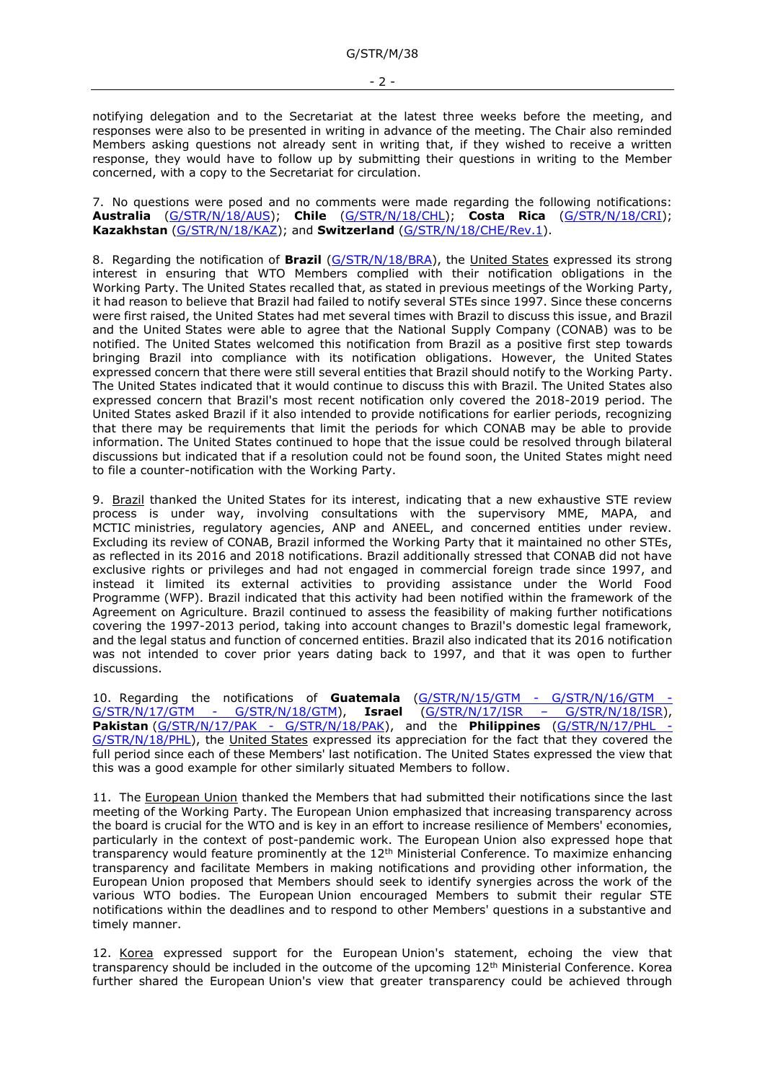notifying delegation and to the Secretariat at the latest three weeks before the meeting, and responses were also to be presented in writing in advance of the meeting. The Chair also reminded Members asking questions not already sent in writing that, if they wished to receive a written response, they would have to follow up by submitting their questions in writing to the Member concerned, with a copy to the Secretariat for circulation.

7. No questions were posed and no comments were made regarding the following notifications: **Australia** [\(G/STR/N/18/AUS\)](https://docs.wto.org/dol2fe/Pages/FE_Search/FE_S_S006.aspx?MetaCollection=WTO&SymbolList=%22G%2fSTR%2fN%2f18%2fAUS%22+OR+%22G%2fSTR%2fN%2f18%2fAUS%2f*%22&Serial=&IssuingDateFrom=&IssuingDateTo=&CATTITLE=&ConcernedCountryList=&OtherCountryList=&SubjectList=&TypeList=&FullTextHash=371857150&ProductList=&BodyDescriptionList=&OrganizationList=&ArticleList=&Contents=&CollectionList=&RestrictionTypeName=&PostingDateFrom=&PostingDateTo=&DerestrictionDateFrom=&DerestrictionDateTo=&ReferenceList=&Language=ENGLISH&SearchPage=FE_S_S001&ActiveTabIndex=0&HSClassificationList=&ServicesClassificationList=&EnvironmentClassificationList=&ICSClassificationList=&ICSClassificationDescList:EnvironmentClassificationDescList:ServicesClassificationDescList:HSClassificationDescList=&languageUIChanged=true); **Chile** [\(G/STR/N/18/CHL\)](https://docs.wto.org/dol2fe/Pages/FE_Search/FE_S_S006.aspx?MetaCollection=WTO&SymbolList=%22G%2fSTR%2fN%2f18%2fCHL%22+OR+%22G%2fSTR%2fN%2f18%2fCHL%2f*%22&Serial=&IssuingDateFrom=&IssuingDateTo=&CATTITLE=&ConcernedCountryList=&OtherCountryList=&SubjectList=&TypeList=&FullTextHash=371857150&ProductList=&BodyDescriptionList=&OrganizationList=&ArticleList=&Contents=&CollectionList=&RestrictionTypeName=&PostingDateFrom=&PostingDateTo=&DerestrictionDateFrom=&DerestrictionDateTo=&ReferenceList=&Language=ENGLISH&SearchPage=FE_S_S001&ActiveTabIndex=0&HSClassificationList=&ServicesClassificationList=&EnvironmentClassificationList=&ICSClassificationList=&ICSClassificationDescList:EnvironmentClassificationDescList:ServicesClassificationDescList:HSClassificationDescList=&languageUIChanged=true); **Costa Rica** [\(G/STR/N/18/CRI\)](https://docs.wto.org/dol2fe/Pages/FE_Search/FE_S_S006.aspx?MetaCollection=WTO&SymbolList=%22G%2fSTR%2fN%2f18%2fCRI%22+OR+%22G%2fSTR%2fN%2f18%2fCRI%2f*%22&Serial=&IssuingDateFrom=&IssuingDateTo=&CATTITLE=&ConcernedCountryList=&OtherCountryList=&SubjectList=&TypeList=&FullTextHash=371857150&ProductList=&BodyDescriptionList=&OrganizationList=&ArticleList=&Contents=&CollectionList=&RestrictionTypeName=&PostingDateFrom=&PostingDateTo=&DerestrictionDateFrom=&DerestrictionDateTo=&ReferenceList=&Language=ENGLISH&SearchPage=FE_S_S001&ActiveTabIndex=0&HSClassificationList=&ServicesClassificationList=&EnvironmentClassificationList=&ICSClassificationList=&ICSClassificationDescList:EnvironmentClassificationDescList:ServicesClassificationDescList:HSClassificationDescList=&languageUIChanged=true); **Kazakhstan** [\(G/STR/N/18/KAZ\)](https://docs.wto.org/dol2fe/Pages/FE_Search/FE_S_S006.aspx?MetaCollection=WTO&SymbolList=%22G%2fSTR%2fN%2f18%2fKAZ%22+OR+%22G%2fSTR%2fN%2f18%2fKAZ%2f*%22&Serial=&IssuingDateFrom=&IssuingDateTo=&CATTITLE=&ConcernedCountryList=&OtherCountryList=&SubjectList=&TypeList=&FullTextHash=371857150&ProductList=&BodyDescriptionList=&OrganizationList=&ArticleList=&Contents=&CollectionList=&RestrictionTypeName=&PostingDateFrom=&PostingDateTo=&DerestrictionDateFrom=&DerestrictionDateTo=&ReferenceList=&Language=ENGLISH&SearchPage=FE_S_S001&ActiveTabIndex=0&HSClassificationList=&ServicesClassificationList=&EnvironmentClassificationList=&ICSClassificationList=&ICSClassificationDescList:EnvironmentClassificationDescList:ServicesClassificationDescList:HSClassificationDescList=&languageUIChanged=true); and **Switzerland** [\(G/STR/N/18/CHE/Rev.1\)](https://docs.wto.org/dol2fe/Pages/FE_Search/FE_S_S006.aspx?MetaCollection=WTO&SymbolList=%22G%2fSTR%2fN%2f18%2fCHE%2fRev.1%22+OR+%22G%2fSTR%2fN%2f18%2fCHE%2fRev.1%2f*%22&Serial=&IssuingDateFrom=&IssuingDateTo=&CATTITLE=&ConcernedCountryList=&OtherCountryList=&SubjectList=&TypeList=&FullTextHash=371857150&ProductList=&BodyDescriptionList=&OrganizationList=&ArticleList=&Contents=&CollectionList=&RestrictionTypeName=&PostingDateFrom=&PostingDateTo=&DerestrictionDateFrom=&DerestrictionDateTo=&ReferenceList=&Language=ENGLISH&SearchPage=FE_S_S001&ActiveTabIndex=0&HSClassificationList=&ServicesClassificationList=&EnvironmentClassificationList=&ICSClassificationList=&ICSClassificationDescList:EnvironmentClassificationDescList:ServicesClassificationDescList:HSClassificationDescList=&languageUIChanged=true).

8. Regarding the notification of **Brazil** [\(G/STR/N/18/BRA\)](https://docs.wto.org/dol2fe/Pages/FE_Search/FE_S_S006.aspx?MetaCollection=WTO&SymbolList=%22G%2fSTR%2fN%2f18%2fBRA%22+OR+%22G%2fSTR%2fN%2f18%2fBRA%2f*%22&Serial=&IssuingDateFrom=&IssuingDateTo=&CATTITLE=&ConcernedCountryList=&OtherCountryList=&SubjectList=&TypeList=&FullTextHash=371857150&ProductList=&BodyDescriptionList=&OrganizationList=&ArticleList=&Contents=&CollectionList=&RestrictionTypeName=&PostingDateFrom=&PostingDateTo=&DerestrictionDateFrom=&DerestrictionDateTo=&ReferenceList=&Language=ENGLISH&SearchPage=FE_S_S001&ActiveTabIndex=0&HSClassificationList=&ServicesClassificationList=&EnvironmentClassificationList=&ICSClassificationList=&ICSClassificationDescList:EnvironmentClassificationDescList:ServicesClassificationDescList:HSClassificationDescList=&languageUIChanged=true), the United States expressed its strong interest in ensuring that WTO Members complied with their notification obligations in the Working Party. The United States recalled that, as stated in previous meetings of the Working Party, it had reason to believe that Brazil had failed to notify several STEs since 1997. Since these concerns were first raised, the United States had met several times with Brazil to discuss this issue, and Brazil and the United States were able to agree that the National Supply Company (CONAB) was to be notified. The United States welcomed this notification from Brazil as a positive first step towards bringing Brazil into compliance with its notification obligations. However, the United States expressed concern that there were still several entities that Brazil should notify to the Working Party. The United States indicated that it would continue to discuss this with Brazil. The United States also expressed concern that Brazil's most recent notification only covered the 2018-2019 period. The United States asked Brazil if it also intended to provide notifications for earlier periods, recognizing that there may be requirements that limit the periods for which CONAB may be able to provide information. The United States continued to hope that the issue could be resolved through bilateral discussions but indicated that if a resolution could not be found soon, the United States might need to file a counter-notification with the Working Party.

9. Brazil thanked the United States for its interest, indicating that a new exhaustive STE review process is under way, involving consultations with the supervisory MME, MAPA, and MCTIC ministries, regulatory agencies, ANP and ANEEL, and concerned entities under review. Excluding its review of CONAB, Brazil informed the Working Party that it maintained no other STEs, as reflected in its 2016 and 2018 notifications. Brazil additionally stressed that CONAB did not have exclusive rights or privileges and had not engaged in commercial foreign trade since 1997, and instead it limited its external activities to providing assistance under the World Food Programme (WFP). Brazil indicated that this activity had been notified within the framework of the Agreement on Agriculture. Brazil continued to assess the feasibility of making further notifications covering the 1997-2013 period, taking into account changes to Brazil's domestic legal framework, and the legal status and function of concerned entities. Brazil also indicated that its 2016 notification was not intended to cover prior years dating back to 1997, and that it was open to further discussions.

10. Regarding the notifications of **Guatemala** [\(G/STR/N/15/GTM -](https://docs.wto.org/dol2fe/Pages/FE_Search/FE_S_S006.aspx?MetaCollection=WTO&SymbolList=%22G%2fSTR%2fN%2f15%2fGTM%22+OR+%22G%2fSTR%2fN%2f15%2fGTM%2f*%22&Serial=&IssuingDateFrom=&IssuingDateTo=&CATTITLE=&ConcernedCountryList=&OtherCountryList=&SubjectList=&TypeList=&FullTextHash=371857150&ProductList=&BodyDescriptionList=&OrganizationList=&ArticleList=&Contents=&CollectionList=&RestrictionTypeName=&PostingDateFrom=&PostingDateTo=&DerestrictionDateFrom=&DerestrictionDateTo=&ReferenceList=&Language=ENGLISH&SearchPage=FE_S_S001&ActiveTabIndex=0&HSClassificationList=&ServicesClassificationList=&EnvironmentClassificationList=&ICSClassificationList=&ICSClassificationDescList:EnvironmentClassificationDescList:ServicesClassificationDescList:HSClassificationDescList=&languageUIChanged=true) G/STR/N/16/GTM - [G/STR/N/17/GTM -](https://docs.wto.org/dol2fe/Pages/FE_Search/FE_S_S006.aspx?MetaCollection=WTO&SymbolList=%22G%2fSTR%2fN%2f15%2fGTM%22+OR+%22G%2fSTR%2fN%2f15%2fGTM%2f*%22&Serial=&IssuingDateFrom=&IssuingDateTo=&CATTITLE=&ConcernedCountryList=&OtherCountryList=&SubjectList=&TypeList=&FullTextHash=371857150&ProductList=&BodyDescriptionList=&OrganizationList=&ArticleList=&Contents=&CollectionList=&RestrictionTypeName=&PostingDateFrom=&PostingDateTo=&DerestrictionDateFrom=&DerestrictionDateTo=&ReferenceList=&Language=ENGLISH&SearchPage=FE_S_S001&ActiveTabIndex=0&HSClassificationList=&ServicesClassificationList=&EnvironmentClassificationList=&ICSClassificationList=&ICSClassificationDescList:EnvironmentClassificationDescList:ServicesClassificationDescList:HSClassificationDescList=&languageUIChanged=true) G/STR/N/18/GTM), **Israel** [\(G/STR/N/17/ISR](https://docs.wto.org/dol2fe/Pages/FE_Search/FE_S_S006.aspx?MetaCollection=WTO&SymbolList=%22G%2fSTR%2fN%2f17%2fISR%22+OR+%22G%2fSTR%2fN%2f17%2fISR%2f*%22&Serial=&IssuingDateFrom=&IssuingDateTo=&CATTITLE=&ConcernedCountryList=&OtherCountryList=&SubjectList=&TypeList=&FullTextHash=371857150&ProductList=&BodyDescriptionList=&OrganizationList=&ArticleList=&Contents=&CollectionList=&RestrictionTypeName=&PostingDateFrom=&PostingDateTo=&DerestrictionDateFrom=&DerestrictionDateTo=&ReferenceList=&Language=ENGLISH&SearchPage=FE_S_S001&ActiveTabIndex=0&HSClassificationList=&ServicesClassificationList=&EnvironmentClassificationList=&ICSClassificationList=&ICSClassificationDescList:EnvironmentClassificationDescList:ServicesClassificationDescList:HSClassificationDescList=&languageUIChanged=true) – G/STR/N/18/ISR), **Pakistan** [\(G/STR/N/17/PAK -](https://docs.wto.org/dol2fe/Pages/FE_Search/FE_S_S006.aspx?MetaCollection=WTO&SymbolList=%22G%2fSTR%2fN%2f17%2fPAK%22+OR+%22G%2fSTR%2fN%2f17%2fPAK%2f*%22&Serial=&IssuingDateFrom=&IssuingDateTo=&CATTITLE=&ConcernedCountryList=&OtherCountryList=&SubjectList=&TypeList=&FullTextHash=371857150&ProductList=&BodyDescriptionList=&OrganizationList=&ArticleList=&Contents=&CollectionList=&RestrictionTypeName=&PostingDateFrom=&PostingDateTo=&DerestrictionDateFrom=&DerestrictionDateTo=&ReferenceList=&Language=ENGLISH&SearchPage=FE_S_S001&ActiveTabIndex=0&HSClassificationList=&ServicesClassificationList=&EnvironmentClassificationList=&ICSClassificationList=&ICSClassificationDescList:EnvironmentClassificationDescList:ServicesClassificationDescList:HSClassificationDescList=&languageUIChanged=true) G/STR/N/18/PAK), and the **Philippines** [\(G/STR/N/17/PHL -](https://docs.wto.org/dol2fe/Pages/FE_Search/FE_S_S006.aspx?MetaCollection=WTO&SymbolList=%22G%2fSTR%2fN%2f17%2fPHL%22+OR+%22G%2fSTR%2fN%2f17%2fPHL%2f*%22&Serial=&IssuingDateFrom=&IssuingDateTo=&CATTITLE=&ConcernedCountryList=&OtherCountryList=&SubjectList=&TypeList=&FullTextHash=371857150&ProductList=&BodyDescriptionList=&OrganizationList=&ArticleList=&Contents=&CollectionList=&RestrictionTypeName=&PostingDateFrom=&PostingDateTo=&DerestrictionDateFrom=&DerestrictionDateTo=&ReferenceList=&Language=ENGLISH&SearchPage=FE_S_S001&ActiveTabIndex=0&HSClassificationList=&ServicesClassificationList=&EnvironmentClassificationList=&ICSClassificationList=&ICSClassificationDescList:EnvironmentClassificationDescList:ServicesClassificationDescList:HSClassificationDescList=&languageUIChanged=true) [G/STR/N/18/PHL\)](https://docs.wto.org/dol2fe/Pages/FE_Search/FE_S_S006.aspx?MetaCollection=WTO&SymbolList=%22G%2fSTR%2fN%2f17%2fPHL%22+OR+%22G%2fSTR%2fN%2f17%2fPHL%2f*%22&Serial=&IssuingDateFrom=&IssuingDateTo=&CATTITLE=&ConcernedCountryList=&OtherCountryList=&SubjectList=&TypeList=&FullTextHash=371857150&ProductList=&BodyDescriptionList=&OrganizationList=&ArticleList=&Contents=&CollectionList=&RestrictionTypeName=&PostingDateFrom=&PostingDateTo=&DerestrictionDateFrom=&DerestrictionDateTo=&ReferenceList=&Language=ENGLISH&SearchPage=FE_S_S001&ActiveTabIndex=0&HSClassificationList=&ServicesClassificationList=&EnvironmentClassificationList=&ICSClassificationList=&ICSClassificationDescList:EnvironmentClassificationDescList:ServicesClassificationDescList:HSClassificationDescList=&languageUIChanged=true), the United States expressed its appreciation for the fact that they covered the full period since each of these Members' last notification. The United States expressed the view that this was a good example for other similarly situated Members to follow.

11. The European Union thanked the Members that had submitted their notifications since the last meeting of the Working Party. The European Union emphasized that increasing transparency across the board is crucial for the WTO and is key in an effort to increase resilience of Members' economies, particularly in the context of post-pandemic work. The European Union also expressed hope that transparency would feature prominently at the 12th Ministerial Conference. To maximize enhancing transparency and facilitate Members in making notifications and providing other information, the European Union proposed that Members should seek to identify synergies across the work of the various WTO bodies. The European Union encouraged Members to submit their regular STE notifications within the deadlines and to respond to other Members' questions in a substantive and timely manner.

12. Korea expressed support for the European Union's statement, echoing the view that transparency should be included in the outcome of the upcoming 12<sup>th</sup> Ministerial Conference. Korea further shared the European Union's view that greater transparency could be achieved through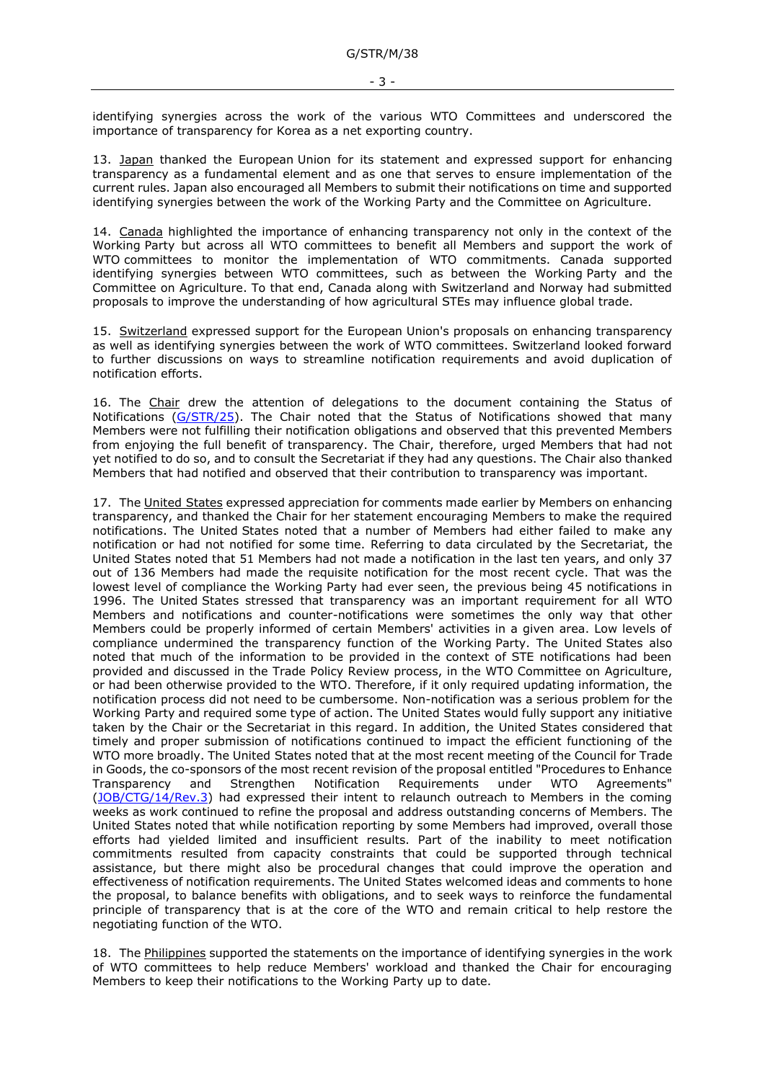identifying synergies across the work of the various WTO Committees and underscored the importance of transparency for Korea as a net exporting country.

13. Japan thanked the European Union for its statement and expressed support for enhancing transparency as a fundamental element and as one that serves to ensure implementation of the current rules. Japan also encouraged all Members to submit their notifications on time and supported identifying synergies between the work of the Working Party and the Committee on Agriculture.

14. Canada highlighted the importance of enhancing transparency not only in the context of the Working Party but across all WTO committees to benefit all Members and support the work of WTO committees to monitor the implementation of WTO commitments. Canada supported identifying synergies between WTO committees, such as between the Working Party and the Committee on Agriculture. To that end, Canada along with Switzerland and Norway had submitted proposals to improve the understanding of how agricultural STEs may influence global trade.

15. Switzerland expressed support for the European Union's proposals on enhancing transparency as well as identifying synergies between the work of WTO committees. Switzerland looked forward to further discussions on ways to streamline notification requirements and avoid duplication of notification efforts.

16. The Chair drew the attention of delegations to the document containing the Status of Notifications [\(G/STR/25\)](https://docs.wto.org/dol2fe/Pages/FE_Search/FE_S_S006.aspx?DataSource=Cat&query=@Symbol=%22G/STR/25%22%20OR%20@Symbol=%22G/STR/25/*%22&Language=English&Context=ScriptedSearches&languageUIChanged=true). The Chair noted that the Status of Notifications showed that many Members were not fulfilling their notification obligations and observed that this prevented Members from enjoying the full benefit of transparency. The Chair, therefore, urged Members that had not yet notified to do so, and to consult the Secretariat if they had any questions. The Chair also thanked Members that had notified and observed that their contribution to transparency was important.

17. The United States expressed appreciation for comments made earlier by Members on enhancing transparency, and thanked the Chair for her statement encouraging Members to make the required notifications. The United States noted that a number of Members had either failed to make any notification or had not notified for some time. Referring to data circulated by the Secretariat, the United States noted that 51 Members had not made a notification in the last ten years, and only 37 out of 136 Members had made the requisite notification for the most recent cycle. That was the lowest level of compliance the Working Party had ever seen, the previous being 45 notifications in 1996. The United States stressed that transparency was an important requirement for all WTO Members and notifications and counter-notifications were sometimes the only way that other Members could be properly informed of certain Members' activities in a given area. Low levels of compliance undermined the transparency function of the Working Party. The United States also noted that much of the information to be provided in the context of STE notifications had been provided and discussed in the Trade Policy Review process, in the WTO Committee on Agriculture, or had been otherwise provided to the WTO. Therefore, if it only required updating information, the notification process did not need to be cumbersome. Non-notification was a serious problem for the Working Party and required some type of action. The United States would fully support any initiative taken by the Chair or the Secretariat in this regard. In addition, the United States considered that timely and proper submission of notifications continued to impact the efficient functioning of the WTO more broadly. The United States noted that at the most recent meeting of the Council for Trade in Goods, the co-sponsors of the most recent revision of the proposal entitled "Procedures to Enhance Transparency and Strengthen Notification Requirements under WTO Agreements" [\(JOB/CTG/14/Rev.3\)](https://docs.wto.org/dol2fe/Pages/FE_Search/FE_S_S006.aspx?MetaCollection=WTO&SymbolList=%22JOB%2fCTG%2f14%2fRev.3%22+OR+%22JOB%2fCTG%2f14%2fRev.3%2f*%22&Serial=&IssuingDateFrom=&IssuingDateTo=&CATTITLE=&ConcernedCountryList=&OtherCountryList=&SubjectList=&TypeList=&FullTextHash=371857150&ProductList=&BodyDescriptionList=&OrganizationList=&ArticleList=&Contents=&CollectionList=&RestrictionTypeName=&PostingDateFrom=&PostingDateTo=&DerestrictionDateFrom=&DerestrictionDateTo=&ReferenceList=&Language=ENGLISH&SearchPage=FE_S_S001&ActiveTabIndex=0&HSClassificationList=&ServicesClassificationList=&EnvironmentClassificationList=&ICSClassificationList=&ICSClassificationDescList:EnvironmentClassificationDescList:ServicesClassificationDescList:HSClassificationDescList=&languageUIChanged=true) had expressed their intent to relaunch outreach to Members in the coming weeks as work continued to refine the proposal and address outstanding concerns of Members. The United States noted that while notification reporting by some Members had improved, overall those efforts had yielded limited and insufficient results. Part of the inability to meet notification commitments resulted from capacity constraints that could be supported through technical assistance, but there might also be procedural changes that could improve the operation and effectiveness of notification requirements. The United States welcomed ideas and comments to hone the proposal, to balance benefits with obligations, and to seek ways to reinforce the fundamental principle of transparency that is at the core of the WTO and remain critical to help restore the negotiating function of the WTO.

18. The Philippines supported the statements on the importance of identifying synergies in the work of WTO committees to help reduce Members' workload and thanked the Chair for encouraging Members to keep their notifications to the Working Party up to date.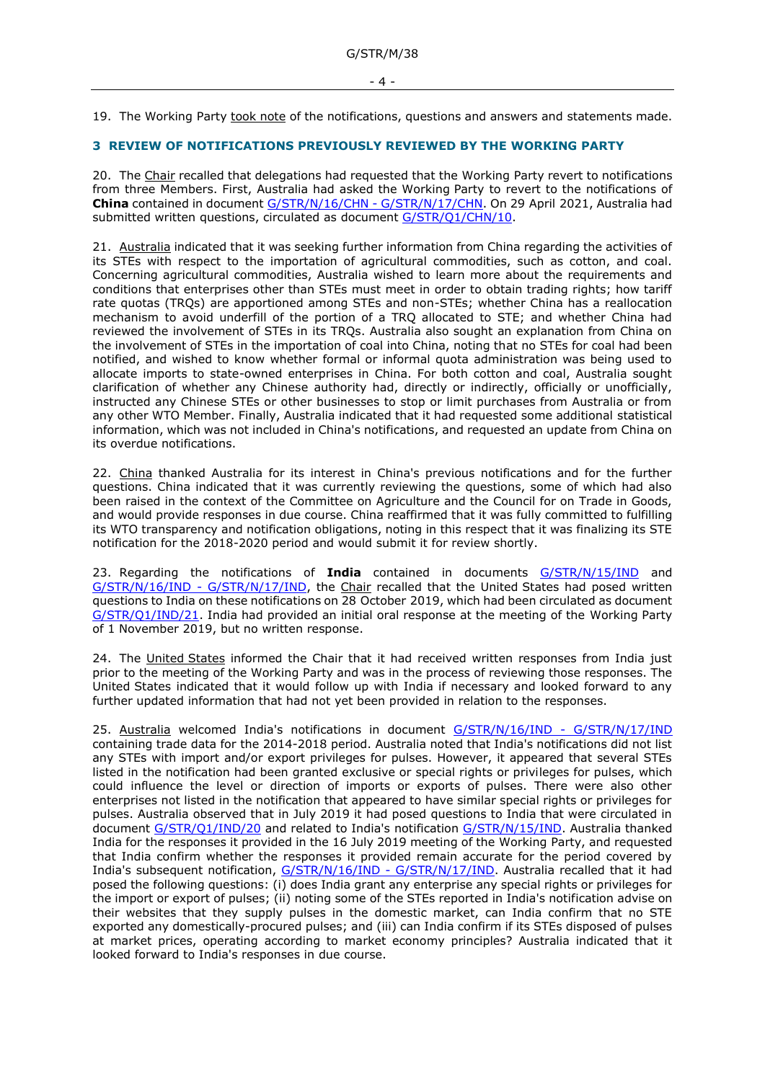19. The Working Party took note of the notifications, questions and answers and statements made.

## <span id="page-3-0"></span>**3 REVIEW OF NOTIFICATIONS PREVIOUSLY REVIEWED BY THE WORKING PARTY**

20. The Chair recalled that delegations had requested that the Working Party revert to notifications from three Members. First, Australia had asked the Working Party to revert to the notifications of **China** contained in document [G/STR/N/16/CHN -](https://docs.wto.org/dol2fe/Pages/FE_Search/FE_S_S006.aspx?MetaCollection=WTO&SymbolList=%22G%2fSTR%2fN%2f16%2fCHN%22+OR+%22G%2fSTR%2fN%2f16%2fCHN%2f*%22&Serial=&IssuingDateFrom=&IssuingDateTo=&CATTITLE=&ConcernedCountryList=&OtherCountryList=&SubjectList=&TypeList=&FullTextHash=371857150&ProductList=&BodyDescriptionList=&OrganizationList=&ArticleList=&Contents=&CollectionList=&RestrictionTypeName=&PostingDateFrom=&PostingDateTo=&DerestrictionDateFrom=&DerestrictionDateTo=&ReferenceList=&Language=ENGLISH&SearchPage=FE_S_S001&ActiveTabIndex=0&HSClassificationList=&ServicesClassificationList=&EnvironmentClassificationList=&ICSClassificationList=&ICSClassificationDescList:EnvironmentClassificationDescList:ServicesClassificationDescList:HSClassificationDescList=&languageUIChanged=true) G/STR/N/17/CHN. On 29 April 2021, Australia had submitted written questions, circulated as document G/STR/O1/CHN/10.

21. Australia indicated that it was seeking further information from China regarding the activities of its STEs with respect to the importation of agricultural commodities, such as cotton, and coal. Concerning agricultural commodities, Australia wished to learn more about the requirements and conditions that enterprises other than STEs must meet in order to obtain trading rights; how tariff rate quotas (TRQs) are apportioned among STEs and non-STEs; whether China has a reallocation mechanism to avoid underfill of the portion of a TRQ allocated to STE; and whether China had reviewed the involvement of STEs in its TRQs. Australia also sought an explanation from China on the involvement of STEs in the importation of coal into China, noting that no STEs for coal had been notified, and wished to know whether formal or informal quota administration was being used to allocate imports to state-owned enterprises in China. For both cotton and coal, Australia sought clarification of whether any Chinese authority had, directly or indirectly, officially or unofficially, instructed any Chinese STEs or other businesses to stop or limit purchases from Australia or from any other WTO Member. Finally, Australia indicated that it had requested some additional statistical information, which was not included in China's notifications, and requested an update from China on its overdue notifications.

22. China thanked Australia for its interest in China's previous notifications and for the further questions. China indicated that it was currently reviewing the questions, some of which had also been raised in the context of the Committee on Agriculture and the Council for on Trade in Goods, and would provide responses in due course. China reaffirmed that it was fully committed to fulfilling its WTO transparency and notification obligations, noting in this respect that it was finalizing its STE notification for the 2018-2020 period and would submit it for review shortly.

23. Regarding the notifications of **India** contained in documents [G/STR/N/15/IND](https://docs.wto.org/dol2fe/Pages/FE_Search/FE_S_S006.aspx?DataSource=Cat&query=@Symbol=%22G/STR/N/15/IND%22%20OR%20@Symbol=%22G/STR/N/15/IND/*%22&Language=English&Context=ScriptedSearches&languageUIChanged=true) and [G/STR/N/16/IND](https://docs.wto.org/dol2fe/Pages/FE_Search/FE_S_S006.aspx?DataSource=Cat&query=@Symbol=%22G/STR/N/16/IND%22%20OR%20@Symbol=%22G/STR/N/16/IND/*%22&Language=English&Context=ScriptedSearches&languageUIChanged=true) - [G/STR/N/17/IND,](https://docs.wto.org/dol2fe/Pages/FE_Search/FE_S_S006.aspx?DataSource=Cat&query=@Symbol=%22G/STR/N/17/IND%22%20OR%20@Symbol=%22G/STR/N/17/IND/*%22&Language=English&Context=ScriptedSearches&languageUIChanged=true) the Chair recalled that the United States had posed written questions to India on these notifications on 28 October 2019, which had been circulated as document [G/STR/Q1/IND/21.](https://docs.wto.org/dol2fe/Pages/FE_Search/FE_S_S006.aspx?DataSource=Cat&query=@Symbol=%22G/STR/Q1/IND/21%22%20OR%20@Symbol=%22G/STR/Q1/IND/21/*%22&Language=English&Context=ScriptedSearches&languageUIChanged=true) India had provided an initial oral response at the meeting of the Working Party of 1 November 2019, but no written response.

24. The United States informed the Chair that it had received written responses from India just prior to the meeting of the Working Party and was in the process of reviewing those responses. The United States indicated that it would follow up with India if necessary and looked forward to any further updated information that had not yet been provided in relation to the responses.

25. Australia welcomed India's notifications in document [G/STR/N/16/IND](https://docs.wto.org/dol2fe/Pages/FE_Search/FE_S_S006.aspx?DataSource=Cat&query=@Symbol=%22G/STR/N/16/IND%22%20OR%20@Symbol=%22G/STR/N/16/IND/*%22&Language=English&Context=ScriptedSearches&languageUIChanged=true) - G/STR/N/17/IND containing trade data for the 2014-2018 period. Australia noted that India's notifications did not list any STEs with import and/or export privileges for pulses. However, it appeared that several STEs listed in the notification had been granted exclusive or special rights or privileges for pulses, which could influence the level or direction of imports or exports of pulses. There were also other enterprises not listed in the notification that appeared to have similar special rights or privileges for pulses. Australia observed that in July 2019 it had posed questions to India that were circulated in document [G/STR/Q1/IND/20](https://docs.wto.org/dol2fe/Pages/FE_Search/FE_S_S006.aspx?MetaCollection=WTO&SymbolList=%22G%2fSTR%2fQ1%2fIND%2f20%22+OR+%22G%2fSTR%2fQ1%2fIND%2f20%2f*%22&Serial=&IssuingDateFrom=&IssuingDateTo=&CATTITLE=&ConcernedCountryList=&OtherCountryList=&SubjectList=&TypeList=&FullTextHash=371857150&ProductList=&BodyDescriptionList=&OrganizationList=&ArticleList=&Contents=&CollectionList=&RestrictionTypeName=&PostingDateFrom=&PostingDateTo=&DerestrictionDateFrom=&DerestrictionDateTo=&ReferenceList=&Language=ENGLISH&SearchPage=FE_S_S001&ActiveTabIndex=0&HSClassificationList=&ServicesClassificationList=&EnvironmentClassificationList=&ICSClassificationList=&ICSClassificationDescList:EnvironmentClassificationDescList:ServicesClassificationDescList:HSClassificationDescList=&languageUIChanged=true) and related to India's notification [G/STR/N/15/IND.](https://docs.wto.org/dol2fe/Pages/FE_Search/FE_S_S006.aspx?MetaCollection=WTO&SymbolList=%22G%2fSTR%2fN%2f15%2fIND%22+OR+%22G%2fSTR%2fN%2f15%2fIND%2f*%22&Serial=&IssuingDateFrom=&IssuingDateTo=&CATTITLE=&ConcernedCountryList=&OtherCountryList=&SubjectList=&TypeList=&FullTextHash=371857150&ProductList=&BodyDescriptionList=&OrganizationList=&ArticleList=&Contents=&CollectionList=&RestrictionTypeName=&PostingDateFrom=&PostingDateTo=&DerestrictionDateFrom=&DerestrictionDateTo=&ReferenceList=&Language=ENGLISH&SearchPage=FE_S_S001&ActiveTabIndex=0&HSClassificationList=&ServicesClassificationList=&EnvironmentClassificationList=&ICSClassificationList=&ICSClassificationDescList:EnvironmentClassificationDescList:ServicesClassificationDescList:HSClassificationDescList=&languageUIChanged=true) Australia thanked India for the responses it provided in the 16 July 2019 meeting of the Working Party, and requested that India confirm whether the responses it provided remain accurate for the period covered by India's subsequent notification, [G/STR/N/16/IND -](https://docs.wto.org/dol2fe/Pages/FE_Search/FE_S_S006.aspx?MetaCollection=WTO&SymbolList=%22G%2fSTR%2fN%2f16%2fIND%22+OR+%22G%2fSTR%2fN%2f16%2fIND%2f*%22&Serial=&IssuingDateFrom=&IssuingDateTo=&CATTITLE=&ConcernedCountryList=&OtherCountryList=&SubjectList=&TypeList=&FullTextHash=371857150&ProductList=&BodyDescriptionList=&OrganizationList=&ArticleList=&Contents=&CollectionList=&RestrictionTypeName=&PostingDateFrom=&PostingDateTo=&DerestrictionDateFrom=&DerestrictionDateTo=&ReferenceList=&Language=ENGLISH&SearchPage=FE_S_S001&ActiveTabIndex=0&HSClassificationList=&ServicesClassificationList=&EnvironmentClassificationList=&ICSClassificationList=&ICSClassificationDescList:EnvironmentClassificationDescList:ServicesClassificationDescList:HSClassificationDescList=&languageUIChanged=true) G/STR/N/17/IND. Australia recalled that it had posed the following questions: (i) does India grant any enterprise any special rights or privileges for the import or export of pulses; (ii) noting some of the STEs reported in India's notification advise on their websites that they supply pulses in the domestic market, can India confirm that no STE exported any domestically-procured pulses; and (iii) can India confirm if its STEs disposed of pulses at market prices, operating according to market economy principles? Australia indicated that it looked forward to India's responses in due course.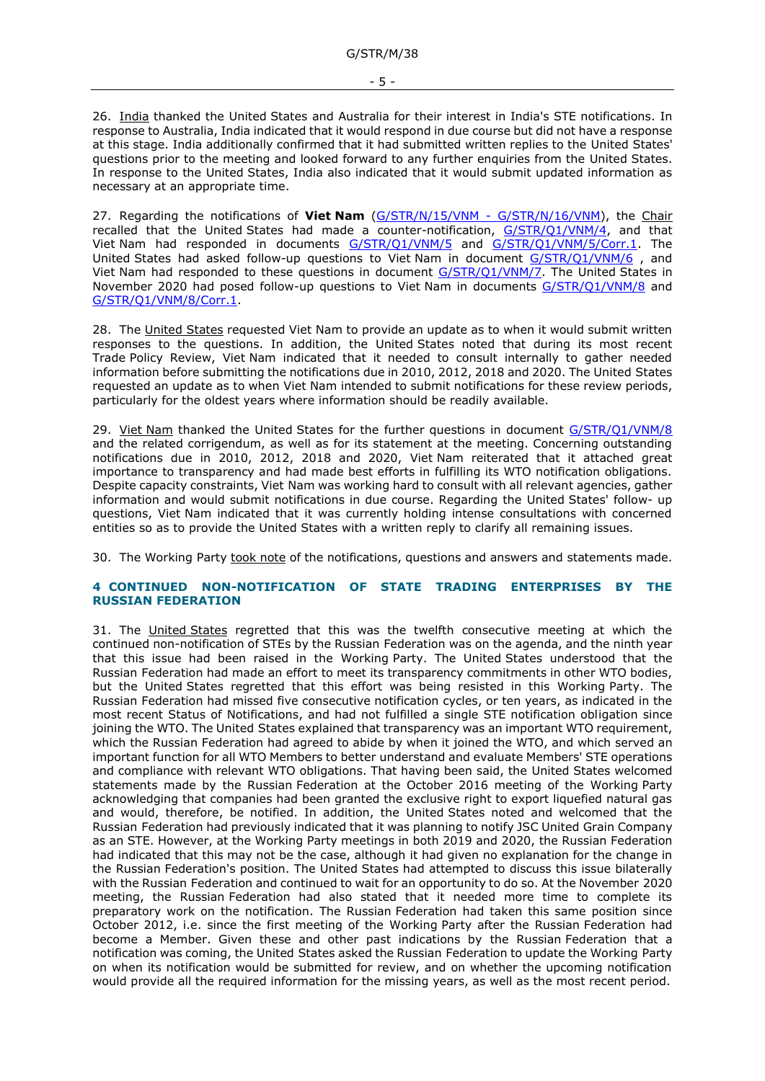26. India thanked the United States and Australia for their interest in India's STE notifications. In response to Australia, India indicated that it would respond in due course but did not have a response at this stage. India additionally confirmed that it had submitted written replies to the United States' questions prior to the meeting and looked forward to any further enquiries from the United States. In response to the United States, India also indicated that it would submit updated information as necessary at an appropriate time.

27. Regarding the notifications of **Viet Nam** [\(G/STR/N/15/VNM -](https://docs.wto.org/dol2fe/Pages/FE_Search/FE_S_S006.aspx?DataSource=Cat&query=@Symbol=%22G/STR/N/15/VNM%22%20OR%20@Symbol=%22G/STR/N/15/VNM/*%22&Language=English&Context=ScriptedSearches&languageUIChanged=true) G/STR/N/16/VNM), the Chair recalled that the United States had made a counter-notification, [G/STR/Q1/VNM/4,](https://docs.wto.org/dol2fe/Pages/FE_Search/FE_S_S006.aspx?DataSource=Cat&query=@Symbol=%22G/STR/Q1/VNM/4%22%20OR%20@Symbol=%22G/STR/Q1/VNM/4/*%22&Language=English&Context=ScriptedSearches&languageUIChanged=true) and that Viet Nam had responded in documents [G/STR/Q1/VNM/5](https://docs.wto.org/dol2fe/Pages/FE_Search/FE_S_S006.aspx?DataSource=Cat&query=@Symbol=%22G/STR/Q1/VNM/5%22%20OR%20@Symbol=%22G/STR/Q1/VNM/5/*%22&Language=English&Context=ScriptedSearches&languageUIChanged=true) and [G/STR/Q1/VNM/5/Corr.1.](https://docs.wto.org/dol2fe/Pages/FE_Search/FE_S_S006.aspx?DataSource=Cat&query=@Symbol=%22G/STR/Q1/VNM/5/Corr.1%22%20OR%20@Symbol=%22G/STR/Q1/VNM/5/Corr.1/*%22&Language=English&Context=ScriptedSearches&languageUIChanged=true) The United States had asked follow-up questions to Viet Nam in document G/STR/O1/VNM/6, and Viet Nam had responded to these questions in document [G/STR/Q1/VNM/7.](https://docs.wto.org/dol2fe/Pages/FE_Search/FE_S_S006.aspx?DataSource=Cat&query=@Symbol=%22G/STR/Q1/VNM/7%22%20OR%20@Symbol=%22G/STR/Q1/VNM/7/*%22&Language=English&Context=ScriptedSearches&languageUIChanged=true) The United States in November 2020 had posed follow-up questions to Viet Nam in documents [G/STR/Q1/VNM/8](https://docs.wto.org/dol2fe/Pages/FE_Search/FE_S_S006.aspx?MetaCollection=WTO&SymbolList=%22G%2fSTR%2fQ1%2fVNM%2f8%22+OR+%22G%2fSTR%2fQ1%2fVNM%2f8%2f*%22&Serial=&IssuingDateFrom=&IssuingDateTo=&CATTITLE=&ConcernedCountryList=&OtherCountryList=&SubjectList=&TypeList=&FullTextHash=371857150&ProductList=&BodyDescriptionList=&OrganizationList=&ArticleList=&Contents=&CollectionList=&RestrictionTypeName=&PostingDateFrom=&PostingDateTo=&DerestrictionDateFrom=&DerestrictionDateTo=&ReferenceList=&Language=ENGLISH&SearchPage=FE_S_S001&ActiveTabIndex=0&HSClassificationList=&ServicesClassificationList=&EnvironmentClassificationList=&ICSClassificationList=&ICSClassificationDescList:EnvironmentClassificationDescList:ServicesClassificationDescList:HSClassificationDescList=&languageUIChanged=true) and [G/STR/Q1/VNM/8/Corr.1.](https://docs.wto.org/dol2fe/Pages/FE_Search/FE_S_S006.aspx?MetaCollection=WTO&SymbolList=%22G%2fSTR%2fQ1%2fVNM%2f8%2fCorr.1%22+OR+%22G%2fSTR%2fQ1%2fVNM%2f8%2fCorr.1%2f*%22&Serial=&IssuingDateFrom=&IssuingDateTo=&CATTITLE=&ConcernedCountryList=&OtherCountryList=&SubjectList=&TypeList=&FullTextHash=371857150&ProductList=&BodyDescriptionList=&OrganizationList=&ArticleList=&Contents=&CollectionList=&RestrictionTypeName=&PostingDateFrom=&PostingDateTo=&DerestrictionDateFrom=&DerestrictionDateTo=&ReferenceList=&Language=ENGLISH&SearchPage=FE_S_S001&ActiveTabIndex=0&HSClassificationList=&ServicesClassificationList=&EnvironmentClassificationList=&ICSClassificationList=&ICSClassificationDescList:EnvironmentClassificationDescList:ServicesClassificationDescList:HSClassificationDescList=&languageUIChanged=true)

28. The United States requested Viet Nam to provide an update as to when it would submit written responses to the questions. In addition, the United States noted that during its most recent Trade Policy Review, Viet Nam indicated that it needed to consult internally to gather needed information before submitting the notifications due in 2010, 2012, 2018 and 2020. The United States requested an update as to when Viet Nam intended to submit notifications for these review periods, particularly for the oldest years where information should be readily available.

29. Viet Nam thanked the United States for the further questions in document [G/STR/Q1/VNM/8](https://docs.wto.org/dol2fe/Pages/FE_Search/FE_S_S006.aspx?MetaCollection=WTO&SymbolList=%22G%2fSTR%2fQ1%2fVNM%2f8%22+OR+%22G%2fSTR%2fQ1%2fVNM%2f8%2f*%22&Serial=&IssuingDateFrom=&IssuingDateTo=&CATTITLE=&ConcernedCountryList=&OtherCountryList=&SubjectList=&TypeList=&FullTextHash=371857150&ProductList=&BodyDescriptionList=&OrganizationList=&ArticleList=&Contents=&CollectionList=&RestrictionTypeName=&PostingDateFrom=&PostingDateTo=&DerestrictionDateFrom=&DerestrictionDateTo=&ReferenceList=&Language=ENGLISH&SearchPage=FE_S_S001&ActiveTabIndex=0&HSClassificationList=&ServicesClassificationList=&EnvironmentClassificationList=&ICSClassificationList=&ICSClassificationDescList:EnvironmentClassificationDescList:ServicesClassificationDescList:HSClassificationDescList=&languageUIChanged=true) and the related corrigendum, as well as for its statement at the meeting. Concerning outstanding notifications due in 2010, 2012, 2018 and 2020, Viet Nam reiterated that it attached great importance to transparency and had made best efforts in fulfilling its WTO notification obligations. Despite capacity constraints, Viet Nam was working hard to consult with all relevant agencies, gather information and would submit notifications in due course. Regarding the United States' follow- up questions, Viet Nam indicated that it was currently holding intense consultations with concerned entities so as to provide the United States with a written reply to clarify all remaining issues.

30. The Working Party took note of the notifications, questions and answers and statements made.

## <span id="page-4-0"></span>**4 CONTINUED NON-NOTIFICATION OF STATE TRADING ENTERPRISES BY THE RUSSIAN FEDERATION**

31. The United States regretted that this was the twelfth consecutive meeting at which the continued non-notification of STEs by the Russian Federation was on the agenda, and the ninth year that this issue had been raised in the Working Party. The United States understood that the Russian Federation had made an effort to meet its transparency commitments in other WTO bodies, but the United States regretted that this effort was being resisted in this Working Party. The Russian Federation had missed five consecutive notification cycles, or ten years, as indicated in the most recent Status of Notifications, and had not fulfilled a single STE notification obligation since joining the WTO. The United States explained that transparency was an important WTO requirement, which the Russian Federation had agreed to abide by when it joined the WTO, and which served an important function for all WTO Members to better understand and evaluate Members' STE operations and compliance with relevant WTO obligations. That having been said, the United States welcomed statements made by the Russian Federation at the October 2016 meeting of the Working Party acknowledging that companies had been granted the exclusive right to export liquefied natural gas and would, therefore, be notified. In addition, the United States noted and welcomed that the Russian Federation had previously indicated that it was planning to notify JSC United Grain Company as an STE. However, at the Working Party meetings in both 2019 and 2020, the Russian Federation had indicated that this may not be the case, although it had given no explanation for the change in the Russian Federation's position. The United States had attempted to discuss this issue bilaterally with the Russian Federation and continued to wait for an opportunity to do so. At the November 2020 meeting, the Russian Federation had also stated that it needed more time to complete its preparatory work on the notification. The Russian Federation had taken this same position since October 2012, i.e. since the first meeting of the Working Party after the Russian Federation had become a Member. Given these and other past indications by the Russian Federation that a notification was coming, the United States asked the Russian Federation to update the Working Party on when its notification would be submitted for review, and on whether the upcoming notification would provide all the required information for the missing years, as well as the most recent period.